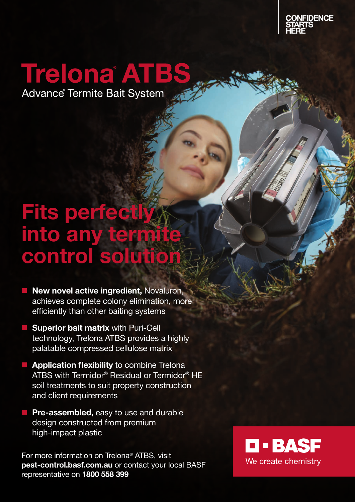

## Trelona ATBS

Advance Termite Bait System

## Fits perfectly into any termit control solutio

- **New novel active ingredient, Novaluron,** achieves complete colony elimination, more efficiently than other baiting systems
- **Superior bait matrix with Puri-Cell** technology, Trelona ATBS provides a highly palatable compressed cellulose matrix
- $\blacksquare$  Application flexibility to combine Trelona ATBS with Termidor® Residual or Termidor® HE soil treatments to suit property construction and client requirements
- **Pre-assembled, easy to use and durable** design constructed from premium high-impact plastic

For more information on Trelona® ATBS, visit pest-control.basf.com.au or contact your local BASF representative on 1800 558 399